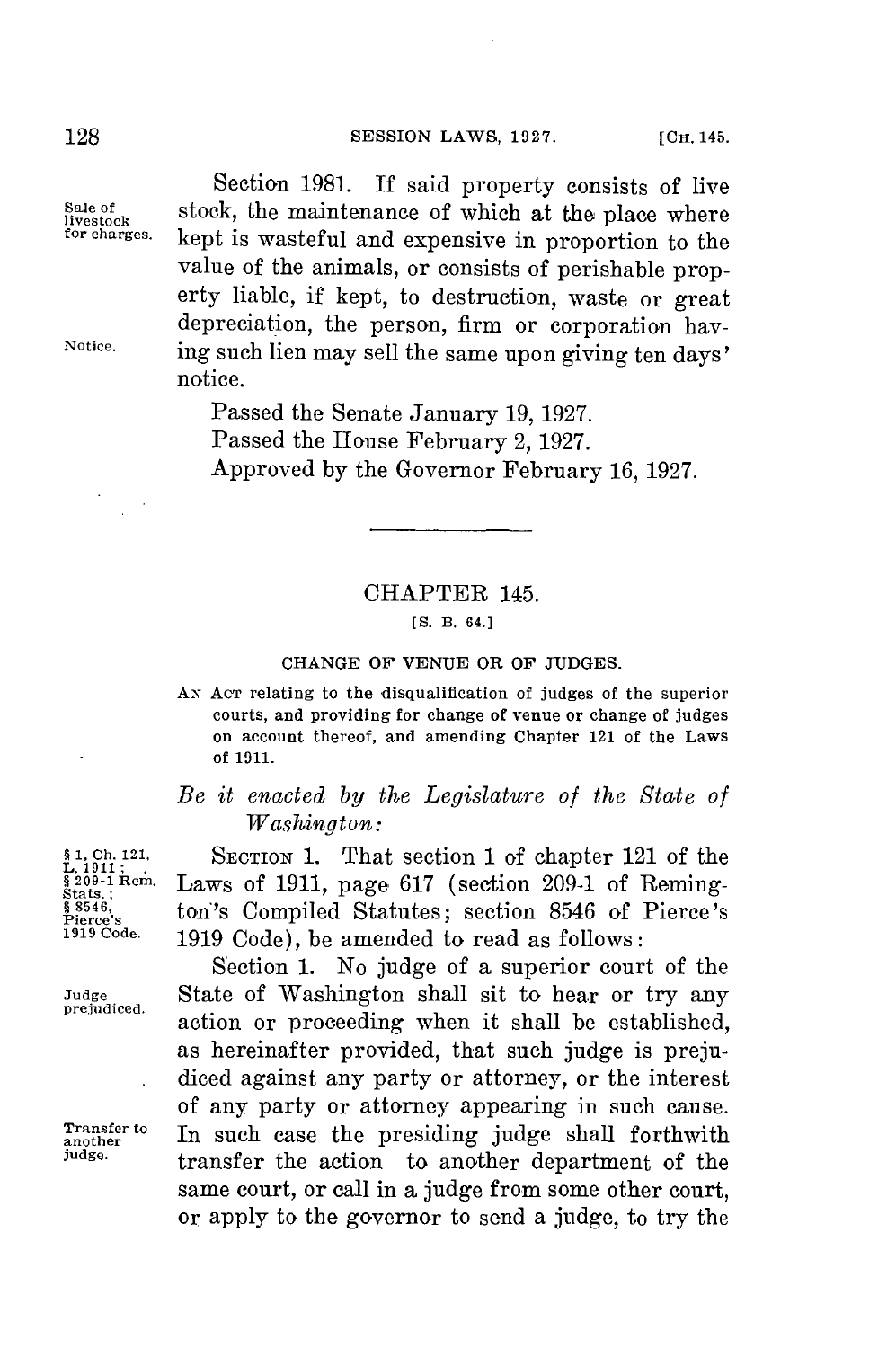## **128 SESSION LAWS, 1927.** [CH. 145.

**Sale** 

Section **1981.** If said property consists of live  $\frac{\text{Male of}}{\text{live to} R}$  stock, the maintenance of which at the place where  $\frac{\text{for} \text{ch} \cdot \text{check}}{\text{for} \text{ch} \cdot \text{check}}$ kept is wasteful and expensive in proportion to the value of the animals, or consists of perishable property liable, if kept, to destruction, waste or great Notice. ing such lien may sell the same upon giving ten days' notice.

> Passed the Senate January **19, 1927.** Passed the House February 2, **1927.** Approved **by** the Governor February **16, 1927.**

### CHAPTER 145.

### **[S. B. 64.]**

### **CHANGE OF VENUE** OR OF **JUDGES.**

Ax Acr relating to the disqualification of judges of the superior courts, and providing for change of venue or change of judges on account thereof, and amending Chapter 121 of the Laws **of 1911.**

# *Be it enacted by the Legislature of the State of Washington:*

**1, Ch. 121, 10. 1. 1. Ch. 121 Chapter 121** of the **stats.**;<br>**1.** (except) **1. Example 121 Constant Constant Constant Constant Constant Constant Constant Constant Constant Constant Constant Constant Constan §** \$546, **b** ton's Compiled Statutes; section 8546 of Pierce's **1919 Code. 1919** Code), be amended to read as follows:

Section **1.** No judge of a superior court of the Judge **State of Washington shall sit to hear or try any** prejudiced. action or proceeding when it shall be established, as hereinafter provided, that such judge is prejudiced against any party or attorney, or the interest of any party or attorney appearing in such cause. **Transfer to** In such case the presiding judge shall forthwith another dependence the society of the same in the section of the section of the section of the section of the section of the section of the section of the sect transfer the action to another department of the same court, or call in a judge from some other court, or apply to the governor to send a judge, to try the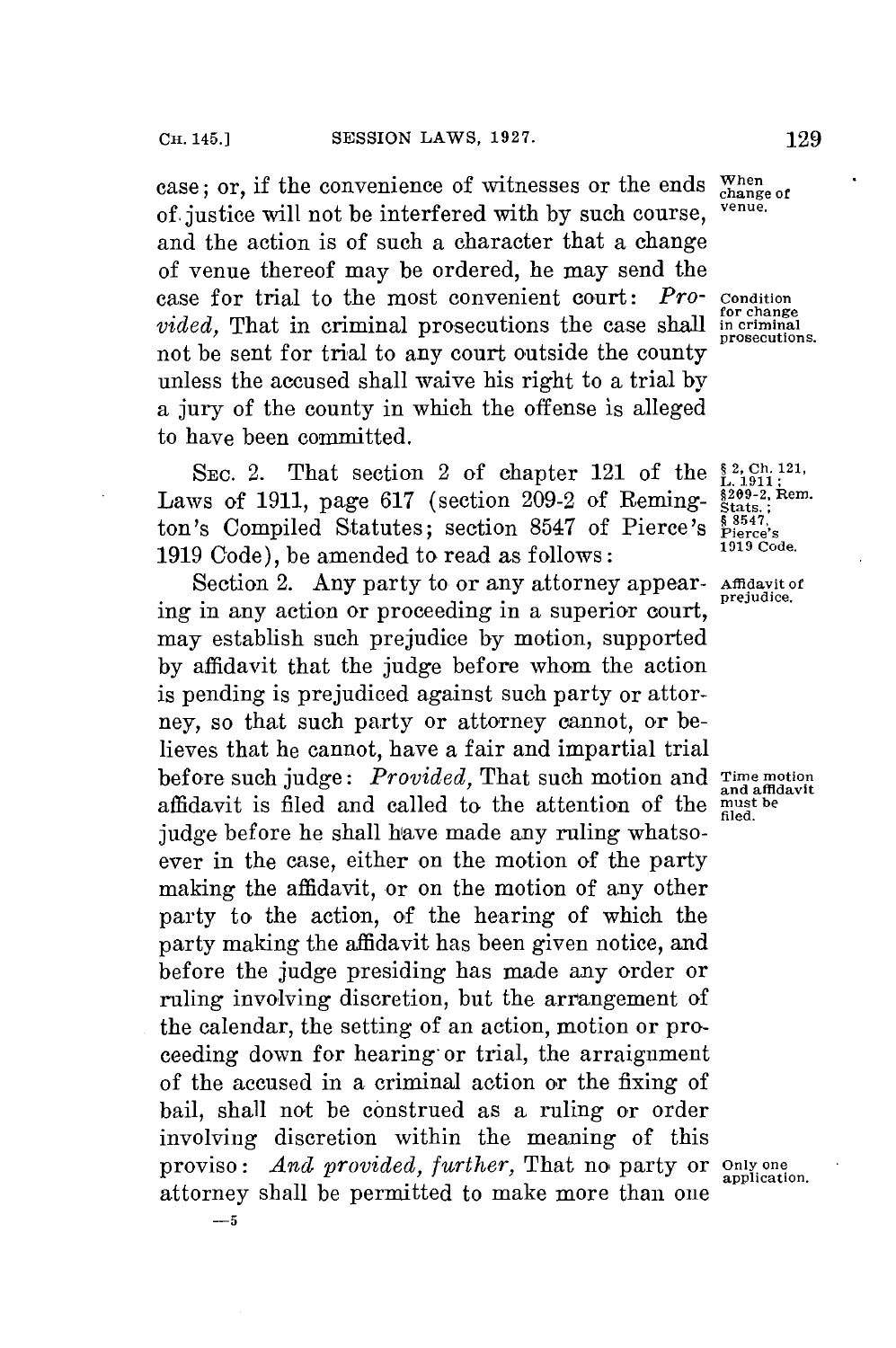case; or, if the convenience of witnesses or the ends  $\frac{When}{change of}$  of institution will not be interfered with by guch course. **of.** justice will not be interfered with **by** such course, **venue.** and the action is of such a character that a change of venue thereof may be ordered, he may send the case for trial to the most convenient court: *Pro-* Condition<br>*pided* That in criminal prosecutions the case shall incriminal *vided*, That in criminal prosecutions the case shall not be sent **for** trial to any court outside the county unless the accused shall waive his right to a trial **by** a jury of the county in which the offense is alleged to have been committed.

SEC. 2. That section 2 of chapter 121 of the  $_{\text{L.1911}}^{8,2,\text{Ch.121}}$ , ws of 1911, page 617 (section 209-2 of Reming-  $_{\text{stats}}^{82,90-2,$  Rem. Laws of 1911, page 617 (section 209-2 of Remington's Compiled Statutes; section 8547 of Pierce's  $\frac{8547}{191}$ **1919** Code), be amended to read as follows: **1919** Code.

Section 2. Any party to or any attorney appear- Affidavit of ing in any action or proceeding in a superior court, may establish such prejudice **by** motion, supported **by** affidavit that the judge before whom the action is pending is prejudiced against such party or attorney, so that such party or attorney cannot, or believes that he cannot, have a fair and impartial trial before such judge: *Provided,* That such motion and **Time motion** affidavit is filed and called to the attention of the **must be** filed. judge before he shall have made any ruling whatsoever in the case, either on the motion of the party making the affidavit, or on the motion of any other party to the action, of the hearing of which the party making the affidavit has been given notice, and before the judge presiding has made any order or ruling involving discretion, but the arrangement of the calendar, the setting of an action, motion or proceeding down for hearing- or trial, the arraignment of the accused in a criminal action or the fixing of bail, shall not be construed as a ruling or order involving discretion within the meaning of this proviso: *And provided, further,* That no party or **only one**<br>proviso: *And provided, further,* That no party or *application*. attorney shall be permitted to make more than one

**prosecutions.**

and affldavit

**-5**